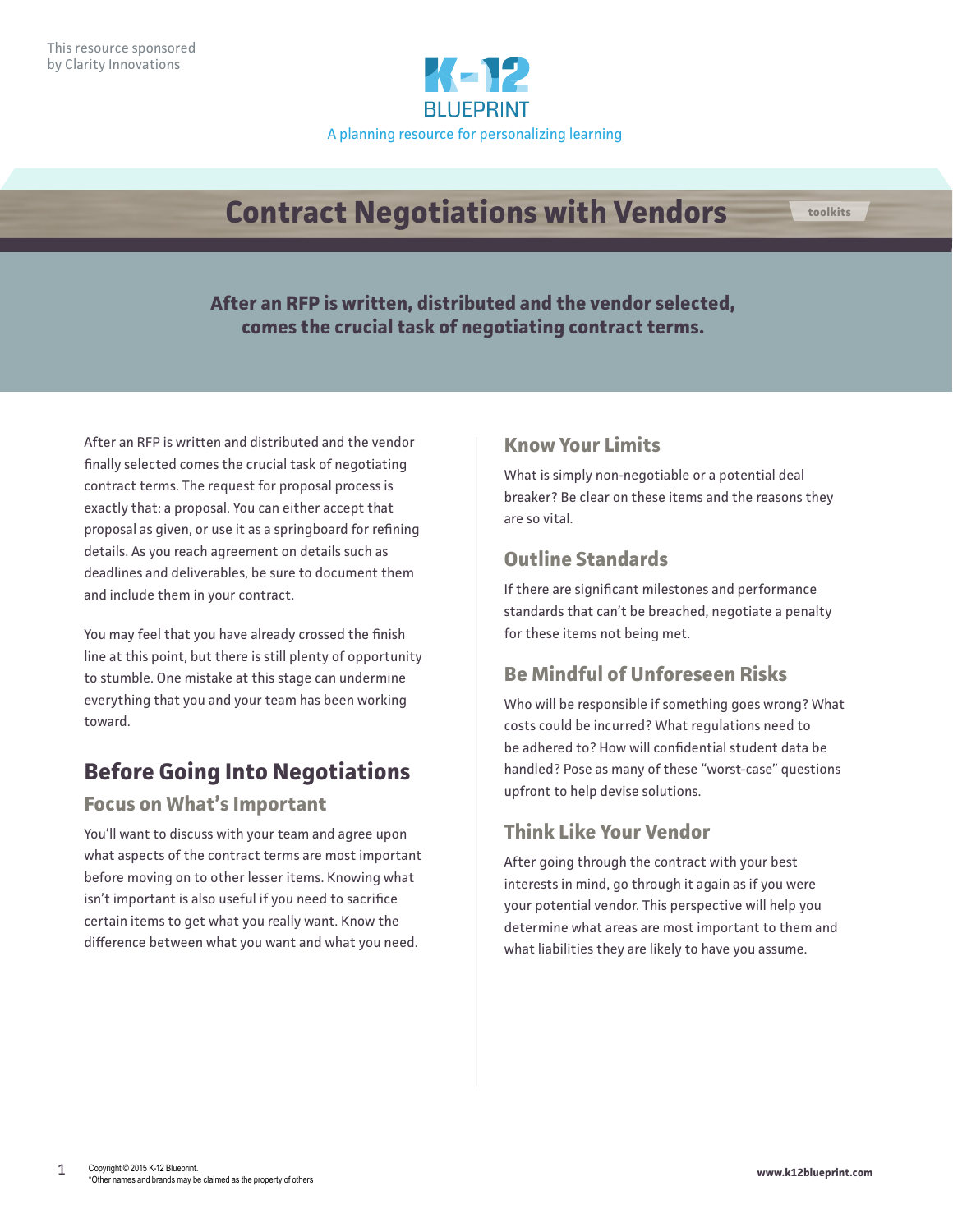

# **Contract Negotiations with Vendors toolkits**

**After an RFP is written, distributed and the vendor selected, comes the crucial task of negotiating contract terms.**

After an RFP is written and distributed and the vendor finally selected comes the crucial task of negotiating contract terms. The request for proposal process is exactly that: a proposal. You can either accept that proposal as given, or use it as a springboard for refining details. As you reach agreement on details such as deadlines and deliverables, be sure to document them and include them in your contract.

You may feel that you have already crossed the finish line at this point, but there is still plenty of opportunity to stumble. One mistake at this stage can undermine everything that you and your team has been working toward.

# **Before Going Into Negotiations**

### **Focus on What's Important**

You'll want to discuss with your team and agree upon what aspects of the contract terms are most important before moving on to other lesser items. Knowing what isn't important is also useful if you need to sacrifice certain items to get what you really want. Know the difference between what you want and what you need.

### **Know Your Limits**

What is simply non-negotiable or a potential deal breaker? Be clear on these items and the reasons they are so vital.

### **Outline Standards**

If there are significant milestones and performance standards that can't be breached, negotiate a penalty for these items not being met.

### **Be Mindful of Unforeseen Risks**

Who will be responsible if something goes wrong? What costs could be incurred? What regulations need to be adhered to? How will confidential student data be handled? Pose as many of these "worst-case" questions upfront to help devise solutions.

### **Think Like Your Vendor**

After going through the contract with your best interests in mind, go through it again as if you were your potential vendor. This perspective will help you determine what areas are most important to them and what liabilities they are likely to have you assume.